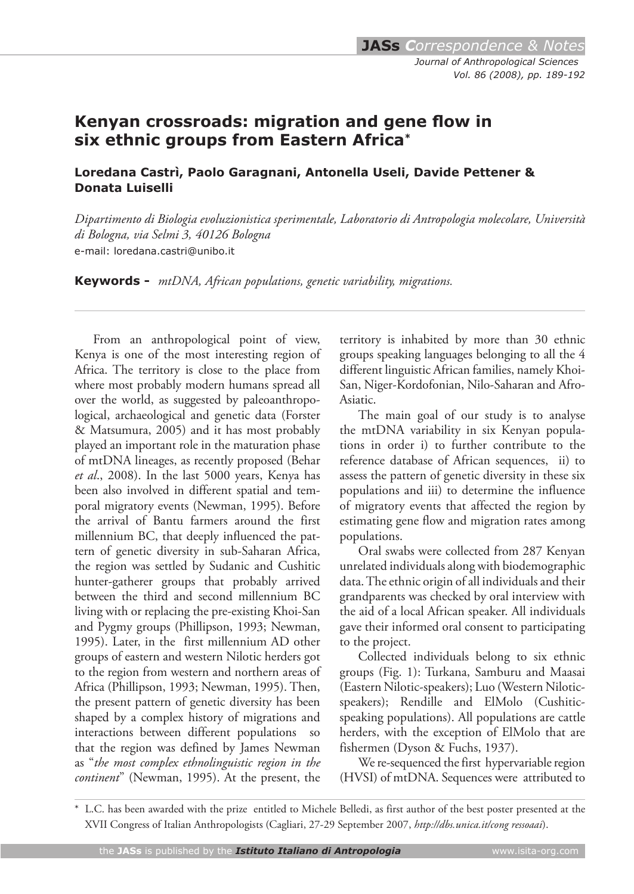## **Kenyan crossroads: migration and gene flow in six ethnic groups from Eastern Africa\***

**Loredana Castrì, Paolo Garagnani, Antonella Useli, Davide Pettener & Donata Luiselli**

*Dipartimento di Biologia evoluzionistica sperimentale, Laboratorio di Antropologia molecolare, Università di Bologna, via Selmi 3, 40126 Bologna* e-mail: loredana.castri@unibo.it

**Keywords -** *mtDNA, African populations, genetic variability, migrations.*

From an anthropological point of view, Kenya is one of the most interesting region of Africa. The territory is close to the place from where most probably modern humans spread all over the world, as suggested by paleoanthropological, archaeological and genetic data (Forster & Matsumura, 2005) and it has most probably played an important role in the maturation phase of mtDNA lineages, as recently proposed (Behar *et al*., 2008). In the last 5000 years, Kenya has been also involved in different spatial and temporal migratory events (Newman, 1995). Before the arrival of Bantu farmers around the first millennium BC, that deeply influenced the pattern of genetic diversity in sub-Saharan Africa, the region was settled by Sudanic and Cushitic hunter-gatherer groups that probably arrived between the third and second millennium BC living with or replacing the pre-existing Khoi-San and Pygmy groups (Phillipson, 1993; Newman, 1995). Later, in the first millennium AD other groups of eastern and western Nilotic herders got to the region from western and northern areas of Africa (Phillipson, 1993; Newman, 1995). Then, the present pattern of genetic diversity has been shaped by a complex history of migrations and interactions between different populations so that the region was defined by James Newman as "*the most complex ethnolinguistic region in the continent*" (Newman, 1995). At the present, the

territory is inhabited by more than 30 ethnic groups speaking languages belonging to all the 4 different linguistic African families, namely Khoi-San, Niger-Kordofonian, Nilo-Saharan and Afro-Asiatic.

The main goal of our study is to analyse the mtDNA variability in six Kenyan populations in order i) to further contribute to the reference database of African sequences, ii) to assess the pattern of genetic diversity in these six populations and iii) to determine the influence of migratory events that affected the region by estimating gene flow and migration rates among populations.

Oral swabs were collected from 287 Kenyan unrelated individuals along with biodemographic data. The ethnic origin of all individuals and their grandparents was checked by oral interview with the aid of a local African speaker. All individuals gave their informed oral consent to participating to the project.

Collected individuals belong to six ethnic groups (Fig. 1): Turkana, Samburu and Maasai (Eastern Nilotic-speakers); Luo (Western Niloticspeakers); Rendille and ElMolo (Cushiticspeaking populations). All populations are cattle herders, with the exception of ElMolo that are fishermen (Dyson & Fuchs, 1937).

We re-sequenced the first hypervariable region (HVSI) of mtDNA. Sequences were attributed to

L.C. has been awarded with the prize entitled to Michele Belledi, as first author of the best poster presented at the XVII Congress of Italian Anthropologists (Cagliari, 27-29 September 2007, *http://dbs.unica.it/cong ressoaai*).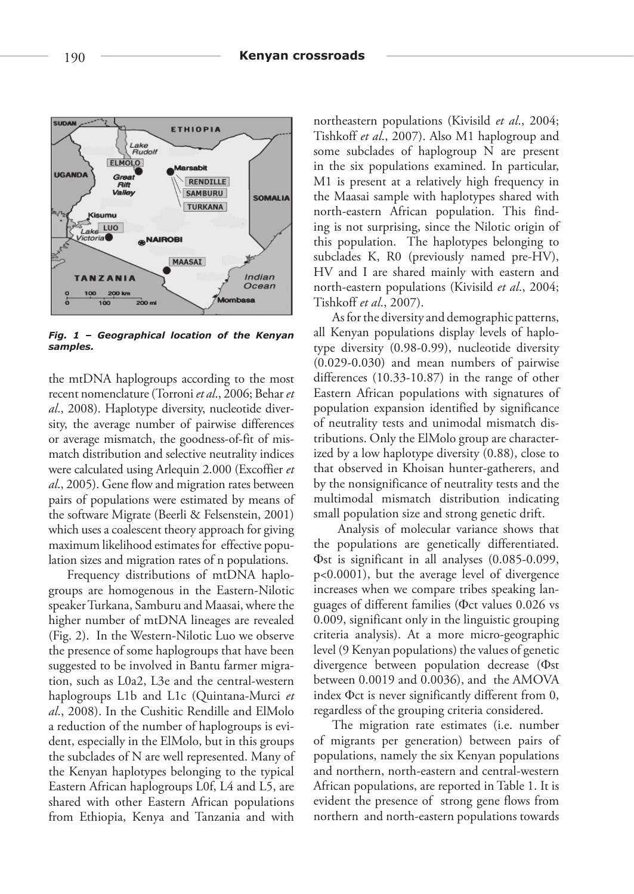

*Fig. 1 – Geographical location of the Kenyan samples.* 

the mtDNA haplogroups according to the most recent nomenclature (Torroni *et al*., 2006; Behar *et al*., 2008). Haplotype diversity, nucleotide diversity, the average number of pairwise differences or average mismatch, the goodness-of-fit of mismatch distribution and selective neutrality indices were calculated using Arlequin 2.000 (Excoffier *et al*., 2005). Gene flow and migration rates between pairs of populations were estimated by means of the software Migrate (Beerli & Felsenstein, 2001) which uses a coalescent theory approach for giving maximum likelihood estimates for effective population sizes and migration rates of n populations.

Frequency distributions of mtDNA haplogroups are homogenous in the Eastern-Nilotic speaker Turkana, Samburu and Maasai, where the higher number of mtDNA lineages are revealed (Fig. 2). In the Western-Nilotic Luo we observe the presence of some haplogroups that have been suggested to be involved in Bantu farmer migration, such as L0a2, L3e and the central-western haplogroups L1b and L1c (Quintana-Murci *et al*., 2008). In the Cushitic Rendille and ElMolo a reduction of the number of haplogroups is evident, especially in the ElMolo, but in this groups the subclades of N are well represented. Many of the Kenyan haplotypes belonging to the typical Eastern African haplogroups L0f, L4 and L5, are shared with other Eastern African populations from Ethiopia, Kenya and Tanzania and with

northeastern populations (Kivisild *et al*., 2004; Tishkoff *et al*., 2007). Also M1 haplogroup and some subclades of haplogroup N are present in the six populations examined. In particular, M1 is present at a relatively high frequency in the Maasai sample with haplotypes shared with north-eastern African population. This finding is not surprising, since the Nilotic origin of this population. The haplotypes belonging to subclades K, R0 (previously named pre-HV), HV and I are shared mainly with eastern and north-eastern populations (Kivisild *et al*., 2004; Tishkoff *et al*., 2007).

As for the diversity and demographic patterns, all Kenyan populations display levels of haplotype diversity (0.98-0.99), nucleotide diversity (0.029-0.030) and mean numbers of pairwise differences (10.33-10.87) in the range of other Eastern African populations with signatures of population expansion identified by significance of neutrality tests and unimodal mismatch distributions. Only the ElMolo group are characterized by a low haplotype diversity (0.88), close to that observed in Khoisan hunter-gatherers, and by the nonsignificance of neutrality tests and the multimodal mismatch distribution indicating small population size and strong genetic drift.

 Analysis of molecular variance shows that the populations are genetically differentiated. Φst is significant in all analyses (0.085-0.099, p<0.0001), but the average level of divergence increases when we compare tribes speaking languages of different families (Φct values 0.026 vs 0.009, significant only in the linguistic grouping criteria analysis). At a more micro-geographic level (9 Kenyan populations) the values of genetic divergence between population decrease (Φst between 0.0019 and 0.0036), and the AMOVA index Φct is never significantly different from 0, regardless of the grouping criteria considered.

The migration rate estimates (i.e. number of migrants per generation) between pairs of populations, namely the six Kenyan populations and northern, north-eastern and central-western African populations, are reported in Table 1. It is evident the presence of strong gene flows from northern and north-eastern populations towards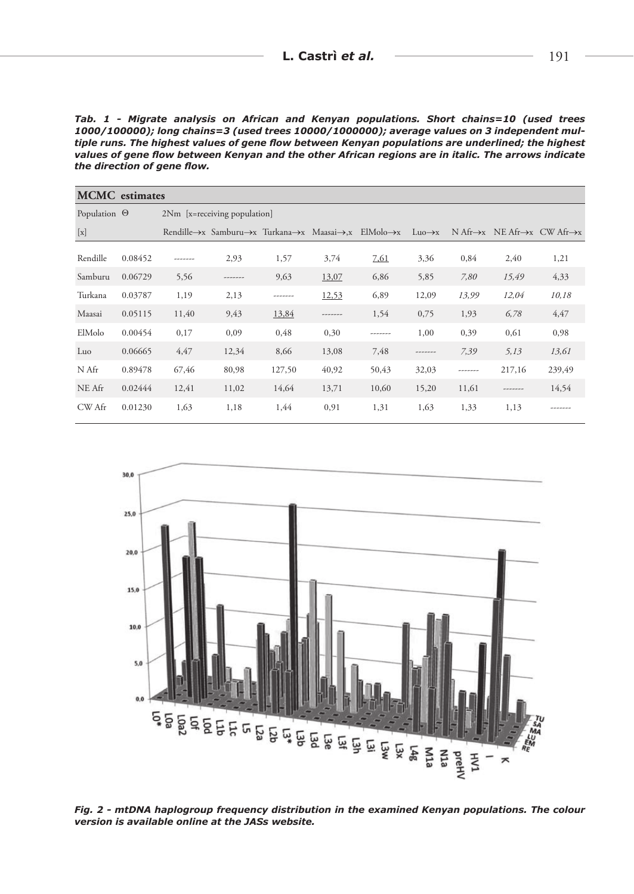*Tab. 1 - Migrate analysis on African and Kenyan populations. Short chains=10 (used trees 1000/100000); long chains=3 (used trees 10000/1000000); average values on 3 independent multiple runs. The highest values of gene fl ow between Kenyan populations are underlined; the highest*  values of gene flow between Kenyan and the other African regions are in italic. The arrows indicate the direction of gene flow.

| <b>MCMC</b> estimates |         |                                |                                                         |         |         |         |         |         |         |                                                                       |
|-----------------------|---------|--------------------------------|---------------------------------------------------------|---------|---------|---------|---------|---------|---------|-----------------------------------------------------------------------|
| Population $\Theta$   |         | $2Nm$ [x=receiving population] |                                                         |         |         |         |         |         |         |                                                                       |
| [x]                   |         |                                | Rendille→x Samburu→x Turkana→x Maasai→,x ElMolo→x Luo→x |         |         |         |         |         |         | $N$ Afr $\rightarrow$ x NE Afr $\rightarrow$ x CW Afr $\rightarrow$ x |
| Rendille              | 0.08452 | -------                        | 2,93                                                    | 1,57    | 3,74    | 7,61    | 3,36    | 0,84    | 2,40    | 1,21                                                                  |
| Samburu               | 0.06729 | 5,56                           | -------                                                 | 9,63    | 13,07   | 6,86    | 5,85    | 7,80    | 15,49   | 4,33                                                                  |
| Turkana               | 0.03787 | 1,19                           | 2,13                                                    | ------- | 12,53   | 6,89    | 12,09   | 13,99   | 12,04   | 10,18                                                                 |
| Maasai                | 0.05115 | 11,40                          | 9,43                                                    | 13,84   | ------- | 1,54    | 0,75    | 1,93    | 6,78    | 4,47                                                                  |
| ElMolo                | 0.00454 | 0,17                           | 0,09                                                    | 0,48    | 0,30    | ------- | 1,00    | 0,39    | 0,61    | 0,98                                                                  |
| Luo                   | 0.06665 | 4,47                           | 12,34                                                   | 8,66    | 13,08   | 7,48    | ------- | 7,39    | 5,13    | 13,61                                                                 |
| N Afr                 | 0.89478 | 67,46                          | 80,98                                                   | 127,50  | 40,92   | 50,43   | 32,03   | ------- | 217,16  | 239,49                                                                |
| NE Afr                | 0.02444 | 12,41                          | 11,02                                                   | 14,64   | 13,71   | 10,60   | 15,20   | 11,61   | ------- | 14,54                                                                 |
| CW Afr                | 0.01230 | 1,63                           | 1,18                                                    | 1,44    | 0,91    | 1,31    | 1,63    | 1,33    | 1,13    |                                                                       |



*Fig. 2 - mtDNA haplogroup frequency distribution in the examined Kenyan populations. The colour version is available online at the JASs website.*